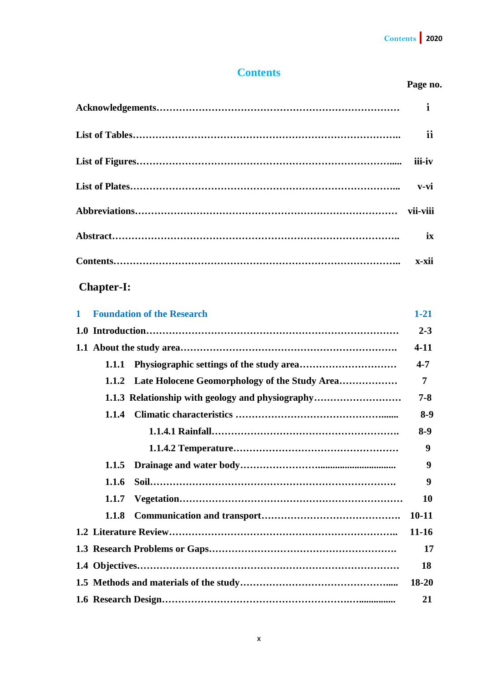### **Contents**

#### **Page no.**

|                                                  | i         |  |  |
|--------------------------------------------------|-----------|--|--|
|                                                  | ii        |  |  |
|                                                  | iii-iv    |  |  |
|                                                  | $v-vi$    |  |  |
|                                                  | vii-viii  |  |  |
|                                                  | ix        |  |  |
|                                                  | x-xii     |  |  |
| <b>Chapter-I:</b>                                |           |  |  |
| <b>Foundation of the Research</b><br>1           | $1 - 21$  |  |  |
|                                                  | $2 - 3$   |  |  |
|                                                  | $4 - 11$  |  |  |
| 1.1.1                                            | $4 - 7$   |  |  |
| 1.1.2                                            | 7         |  |  |
| 1.1.3 Relationship with geology and physiography | $7 - 8$   |  |  |
| 1.1.4                                            | $8-9$     |  |  |
|                                                  | $8-9$     |  |  |
|                                                  | 9         |  |  |
| 1.1.5                                            | 9         |  |  |
| 1.1.6                                            | 9         |  |  |
| 1.1.7                                            | 10        |  |  |
| 1.1.8                                            | $10 - 11$ |  |  |
|                                                  | $11 - 16$ |  |  |
|                                                  | 17        |  |  |
| 18                                               |           |  |  |
|                                                  | 18-20     |  |  |
| 21                                               |           |  |  |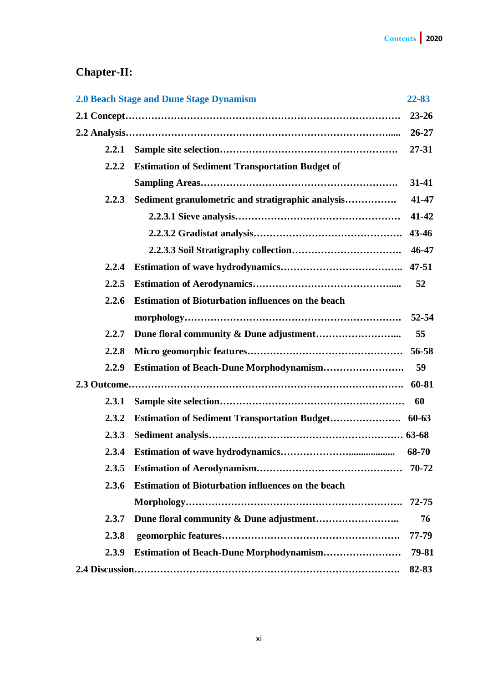# **Chapter-II:**

|       | <b>2.0 Beach Stage and Dune Stage Dynamism</b>            | 22-83     |
|-------|-----------------------------------------------------------|-----------|
|       |                                                           | $23 - 26$ |
|       |                                                           | $26 - 27$ |
| 2.2.1 |                                                           | $27 - 31$ |
| 2.2.2 | <b>Estimation of Sediment Transportation Budget of</b>    |           |
|       |                                                           | $31-41$   |
| 2.2.3 | Sediment granulometric and stratigraphic analysis         | 41-47     |
|       |                                                           | 41-42     |
|       |                                                           | 43-46     |
|       |                                                           | 46-47     |
| 2.2.4 |                                                           | $47 - 51$ |
| 2.2.5 |                                                           | 52        |
| 2.2.6 | <b>Estimation of Bioturbation influences on the beach</b> |           |
|       |                                                           | $52 - 54$ |
| 2.2.7 |                                                           | 55        |
| 2.2.8 |                                                           |           |
| 2.2.9 | <b>Estimation of Beach-Dune Morphodynamism</b>            | 59        |
|       |                                                           | 60-81     |
| 2.3.1 |                                                           | 60        |
| 2.3.2 |                                                           |           |
| 2.3.3 |                                                           |           |
| 2.3.4 |                                                           | 68-70     |
| 2.3.5 |                                                           |           |
| 2.3.6 | <b>Estimation of Bioturbation influences on the beach</b> |           |
|       |                                                           | $72 - 75$ |
| 2.3.7 |                                                           | 76        |
| 2.3.8 |                                                           | 77-79     |
| 2.3.9 | Estimation of Beach-Dune Morphodynamism                   | 79-81     |
|       |                                                           | 82-83     |